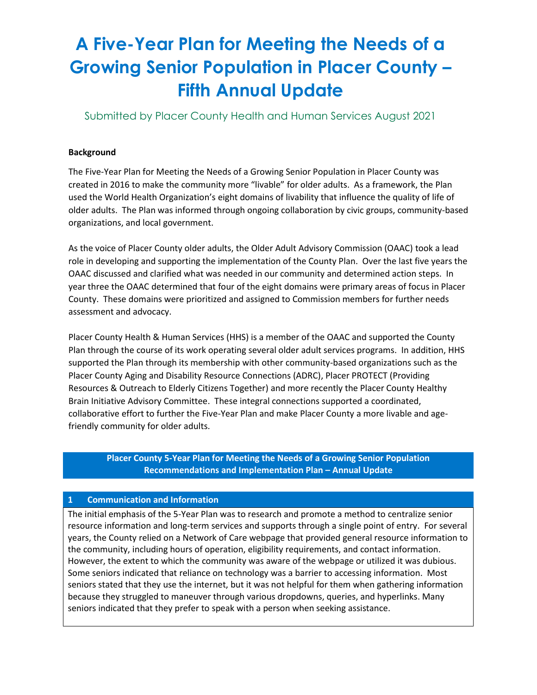# **A Five-Year Plan for Meeting the Needs of a Growing Senior Population in Placer County – Fifth Annual Update**

Submitted by Placer County Health and Human Services August 2021

# **Background**

The Five-Year Plan for Meeting the Needs of a Growing Senior Population in Placer County was created in 2016 to make the community more "livable" for older adults. As a framework, the Plan used the World Health Organization's eight domains of livability that influence the quality of life of older adults. The Plan was informed through ongoing collaboration by civic groups, community-based organizations, and local government.

As the voice of Placer County older adults, the Older Adult Advisory Commission (OAAC) took a lead role in developing and supporting the implementation of the County Plan. Over the last five years the OAAC discussed and clarified what was needed in our community and determined action steps. In year three the OAAC determined that four of the eight domains were primary areas of focus in Placer County. These domains were prioritized and assigned to Commission members for further needs assessment and advocacy.

Placer County Health & Human Services (HHS) is a member of the OAAC and supported the County Plan through the course of its work operating several older adult services programs. In addition, HHS supported the Plan through its membership with other community-based organizations such as the Placer County Aging and Disability Resource Connections (ADRC), Placer PROTECT (Providing Resources & Outreach to Elderly Citizens Together) and more recently the Placer County Healthy Brain Initiative Advisory Committee. These integral connections supported a coordinated, collaborative effort to further the Five-Year Plan and make Placer County a more livable and agefriendly community for older adults.

# **Placer County 5-Year Plan for Meeting the Needs of a Growing Senior Population Recommendations and Implementation Plan – Annual Update**

#### **1 Communication and Information**

The initial emphasis of the 5-Year Plan was to research and promote a method to centralize senior resource information and long-term services and supports through a single point of entry. For several years, the County relied on a Network of Care webpage that provided general resource information to the community, including hours of operation, eligibility requirements, and contact information. However, the extent to which the community was aware of the webpage or utilized it was dubious. Some seniors indicated that reliance on technology was a barrier to accessing information. Most seniors stated that they use the internet, but it was not helpful for them when gathering information because they struggled to maneuver through various dropdowns, queries, and hyperlinks. Many seniors indicated that they prefer to speak with a person when seeking assistance.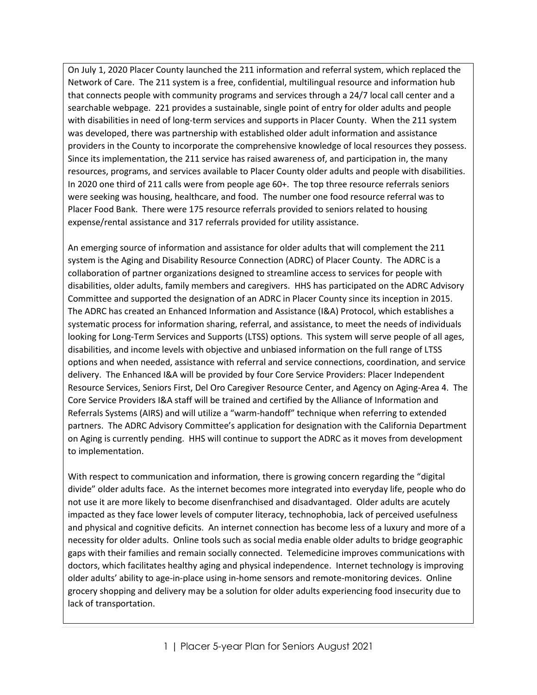On July 1, 2020 Placer County launched the 211 information and referral system, which replaced the Network of Care. The 211 system is a free, confidential, multilingual resource and information hub that connects people with community programs and services through a 24/7 local call center and a searchable webpage. 221 provides a sustainable, single point of entry for older adults and people with disabilities in need of long-term services and supports in Placer County. When the 211 system was developed, there was partnership with established older adult information and assistance providers in the County to incorporate the comprehensive knowledge of local resources they possess. Since its implementation, the 211 service has raised awareness of, and participation in, the many resources, programs, and services available to Placer County older adults and people with disabilities. In 2020 one third of 211 calls were from people age 60+. The top three resource referrals seniors were seeking was housing, healthcare, and food. The number one food resource referral was to Placer Food Bank. There were 175 resource referrals provided to seniors related to housing expense/rental assistance and 317 referrals provided for utility assistance.

An emerging source of information and assistance for older adults that will complement the 211 system is the Aging and Disability Resource Connection (ADRC) of Placer County. The ADRC is a collaboration of partner organizations designed to streamline access to services for people with disabilities, older adults, family members and caregivers. HHS has participated on the ADRC Advisory Committee and supported the designation of an ADRC in Placer County since its inception in 2015. The ADRC has created an Enhanced Information and Assistance (I&A) Protocol, which establishes a systematic process for information sharing, referral, and assistance, to meet the needs of individuals looking for Long-Term Services and Supports (LTSS) options. This system will serve people of all ages, disabilities, and income levels with objective and unbiased information on the full range of LTSS options and when needed, assistance with referral and service connections, coordination, and service delivery. The Enhanced I&A will be provided by four Core Service Providers: Placer Independent Resource Services, Seniors First, Del Oro Caregiver Resource Center, and Agency on Aging-Area 4. The Core Service Providers I&A staff will be trained and certified by the Alliance of Information and Referrals Systems (AIRS) and will utilize a "warm-handoff" technique when referring to extended partners. The ADRC Advisory Committee's application for designation with the California Department on Aging is currently pending. HHS will continue to support the ADRC as it moves from development to implementation.

With respect to communication and information, there is growing concern regarding the "digital divide" older adults face. As the internet becomes more integrated into everyday life, people who do not use it are more likely to become disenfranchised and disadvantaged. Older adults are acutely impacted as they face lower levels of computer literacy, technophobia, lack of perceived usefulness and physical and cognitive deficits. An internet connection has become less of a luxury and more of a necessity for older adults. Online tools such as social media enable older adults to bridge geographic gaps with their families and remain socially connected. Telemedicine improves communications with doctors, which facilitates healthy aging and physical independence. Internet technology is improving older adults' ability to age-in-place using in-home sensors and remote-monitoring devices. Online grocery shopping and delivery may be a solution for older adults experiencing food insecurity due to lack of transportation.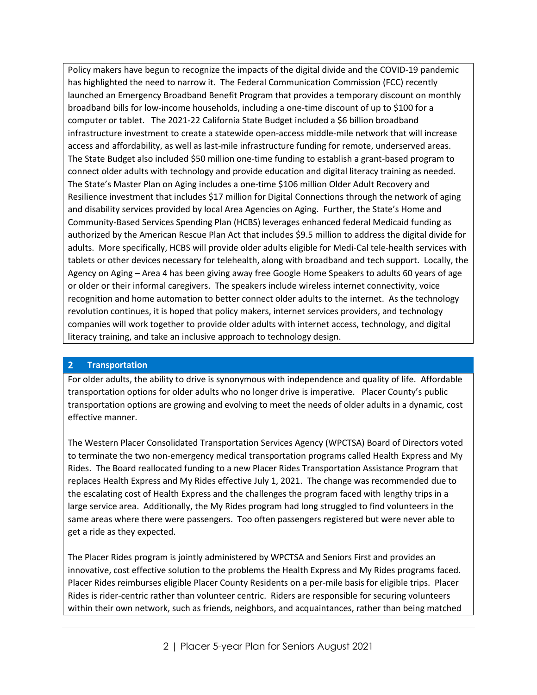Policy makers have begun to recognize the impacts of the digital divide and the COVID-19 pandemic has highlighted the need to narrow it. The Federal Communication Commission (FCC) recently launched an Emergency Broadband Benefit Program that provides a temporary discount on monthly broadband bills for low-income households, including a one-time discount of up to \$100 for a computer or tablet. The 2021-22 California State Budget included a \$6 billion broadband infrastructure investment to create a statewide open-access middle-mile network that will increase access and affordability, as well as last-mile infrastructure funding for remote, underserved areas. The State Budget also included \$50 million one-time funding to establish a grant-based program to connect older adults with technology and provide education and digital literacy training as needed. The State's Master Plan on Aging includes a one-time \$106 million Older Adult Recovery and Resilience investment that includes \$17 million for Digital Connections through the network of aging and disability services provided by local Area Agencies on Aging. Further, the State's Home and Community-Based Services Spending Plan (HCBS) leverages enhanced federal Medicaid funding as authorized by the American Rescue Plan Act that includes \$9.5 million to address the digital divide for adults. More specifically, HCBS will provide older adults eligible for Medi-Cal tele-health services with tablets or other devices necessary for telehealth, along with broadband and tech support. Locally, the Agency on Aging – Area 4 has been giving away free Google Home Speakers to adults 60 years of age or older or their informal caregivers. The speakers include wireless internet connectivity, voice recognition and home automation to better connect older adults to the internet. As the technology revolution continues, it is hoped that policy makers, internet services providers, and technology companies will work together to provide older adults with internet access, technology, and digital literacy training, and take an inclusive approach to technology design.

#### **2 Transportation**

For older adults, the ability to drive is synonymous with independence and quality of life. Affordable transportation options for older adults who no longer drive is imperative. Placer County's public transportation options are growing and evolving to meet the needs of older adults in a dynamic, cost effective manner.

The Western Placer Consolidated Transportation Services Agency (WPCTSA) Board of Directors voted to terminate the two non-emergency medical transportation programs called Health Express and My Rides. The Board reallocated funding to a new Placer Rides Transportation Assistance Program that replaces Health Express and My Rides effective July 1, 2021. The change was recommended due to the escalating cost of Health Express and the challenges the program faced with lengthy trips in a large service area. Additionally, the My Rides program had long struggled to find volunteers in the same areas where there were passengers. Too often passengers registered but were never able to get a ride as they expected.

The Placer Rides program is jointly administered by WPCTSA and Seniors First and provides an innovative, cost effective solution to the problems the Health Express and My Rides programs faced. Placer Rides reimburses eligible Placer County Residents on a per-mile basis for eligible trips. Placer Rides is rider-centric rather than volunteer centric. Riders are responsible for securing volunteers within their own network, such as friends, neighbors, and acquaintances, rather than being matched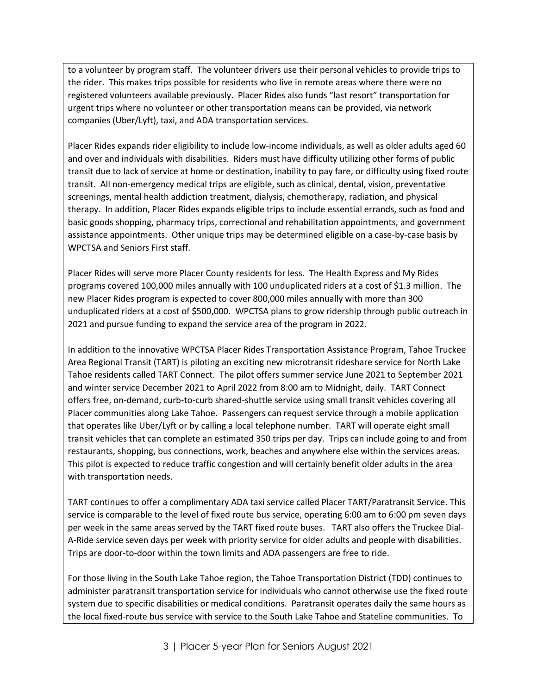to a volunteer by program staff. The volunteer drivers use their personal vehicles to provide trips to the rider. This makes trips possible for residents who live in remote areas where there were no registered volunteers available previously. Placer Rides also funds "last resort" transportation for urgent trips where no volunteer or other transportation means can be provided, via network companies (Uber/Lyft), taxi, and ADA transportation services.

Placer Rides expands rider eligibility to include low-income individuals, as well as older adults aged 60 and over and individuals with disabilities. Riders must have difficulty utilizing other forms of public transit due to lack of service at home or destination, inability to pay fare, or difficulty using fixed route transit. All non-emergency medical trips are eligible, such as clinical, dental, vision, preventative screenings, mental health addiction treatment, dialysis, chemotherapy, radiation, and physical therapy. In addition, Placer Rides expands eligible trips to include essential errands, such as food and basic goods shopping, pharmacy trips, correctional and rehabilitation appointments, and government assistance appointments. Other unique trips may be determined eligible on a case-by-case basis by WPCTSA and Seniors First staff.

Placer Rides will serve more Placer County residents for less. The Health Express and My Rides programs covered 100,000 miles annually with 100 unduplicated riders at a cost of \$1.3 million. The new Placer Rides program is expected to cover 800,000 miles annually with more than 300 unduplicated riders at a cost of \$500,000. WPCTSA plans to grow ridership through public outreach in 2021 and pursue funding to expand the service area of the program in 2022.

In addition to the innovative WPCTSA Placer Rides Transportation Assistance Program, Tahoe Truckee Area Regional Transit (TART) is piloting an exciting new microtransit rideshare service for North Lake Tahoe residents called TART Connect. The pilot offers summer service June 2021 to September 2021 and winter service December 2021 to April 2022 from 8:00 am to Midnight, daily. TART Connect offers free, on-demand, curb-to-curb shared-shuttle service using small transit vehicles covering all Placer communities along Lake Tahoe. Passengers can request service through a mobile application that operates like Uber/Lyft or by calling a local telephone number. TART will operate eight small transit vehicles that can complete an estimated 350 trips per day. Trips can include going to and from restaurants, shopping, bus connections, work, beaches and anywhere else within the services areas. This pilot is expected to reduce traffic congestion and will certainly benefit older adults in the area with transportation needs.

TART continues to offer a complimentary ADA taxi service called Placer TART/Paratransit Service. This service is comparable to the level of fixed route bus service, operating 6:00 am to 6:00 pm seven days per week in the same areas served by the TART fixed route buses. TART also offers the Truckee Dial-A-Ride service seven days per week with priority service for older adults and people with disabilities. Trips are door-to-door within the town limits and ADA passengers are free to ride.

For those living in the South Lake Tahoe region, the Tahoe Transportation District (TDD) continues to administer paratransit transportation service for individuals who cannot otherwise use the fixed route system due to specific disabilities or medical conditions. Paratransit operates daily the same hours as the local fixed-route bus service with service to the South Lake Tahoe and Stateline communities. To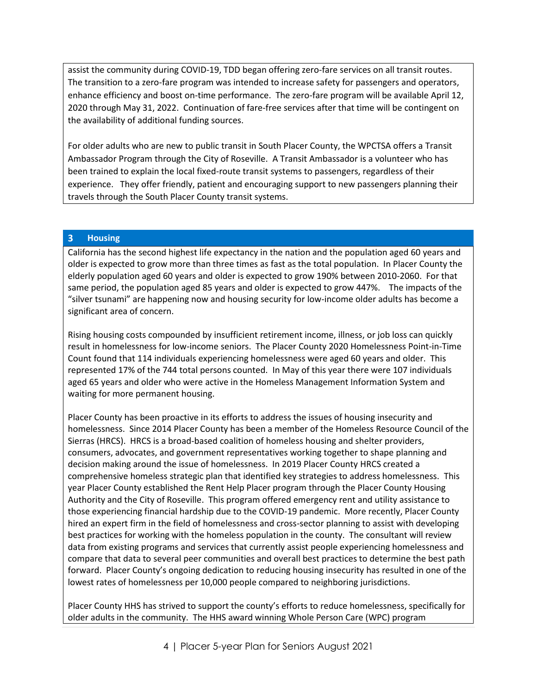assist the community during COVID-19, TDD began offering zero-fare services on all transit routes. The transition to a zero-fare program was intended to increase safety for passengers and operators, enhance efficiency and boost on-time performance. The zero-fare program will be available April 12, 2020 through May 31, 2022. Continuation of fare-free services after that time will be contingent on the availability of additional funding sources.

For older adults who are new to public transit in South Placer County, the WPCTSA offers a Transit Ambassador Program through the City of Roseville. A Transit Ambassador is a volunteer who has been trained to explain the local fixed-route transit systems to passengers, regardless of their experience. They offer friendly, patient and encouraging support to new passengers planning their travels through the South Placer County transit systems.

# **3 Housing**

California has the second highest life expectancy in the nation and the population aged 60 years and older is expected to grow more than three times as fast as the total population. In Placer County the elderly population aged 60 years and older is expected to grow 190% between 2010-2060. For that same period, the population aged 85 years and older is expected to grow 447%. The impacts of the "silver tsunami" are happening now and housing security for low-income older adults has become a significant area of concern.

Rising housing costs compounded by insufficient retirement income, illness, or job loss can quickly result in homelessness for low-income seniors. The Placer County 2020 Homelessness Point-in-Time Count found that 114 individuals experiencing homelessness were aged 60 years and older. This represented 17% of the 744 total persons counted. In May of this year there were 107 individuals aged 65 years and older who were active in the Homeless Management Information System and waiting for more permanent housing.

Placer County has been proactive in its efforts to address the issues of housing insecurity and homelessness. Since 2014 Placer County has been a member of the Homeless Resource Council of the Sierras (HRCS). HRCS is a broad-based coalition of homeless housing and shelter providers, consumers, advocates, and government representatives working together to shape planning and decision making around the issue of homelessness. In 2019 Placer County HRCS created a comprehensive homeless strategic plan that identified key strategies to address homelessness. This year Placer County established the Rent Help Placer program through the Placer County Housing Authority and the City of Roseville. This program offered emergency rent and utility assistance to those experiencing financial hardship due to the COVID-19 pandemic. More recently, Placer County hired an expert firm in the field of homelessness and cross-sector planning to assist with developing best practices for working with the homeless population in the county. The consultant will review data from existing programs and services that currently assist people experiencing homelessness and compare that data to several peer communities and overall best practices to determine the best path forward. Placer County's ongoing dedication to reducing housing insecurity has resulted in one of the lowest rates of homelessness per 10,000 people compared to neighboring jurisdictions.

Placer County HHS has strived to support the county's efforts to reduce homelessness, specifically for older adults in the community. The HHS award winning Whole Person Care (WPC) program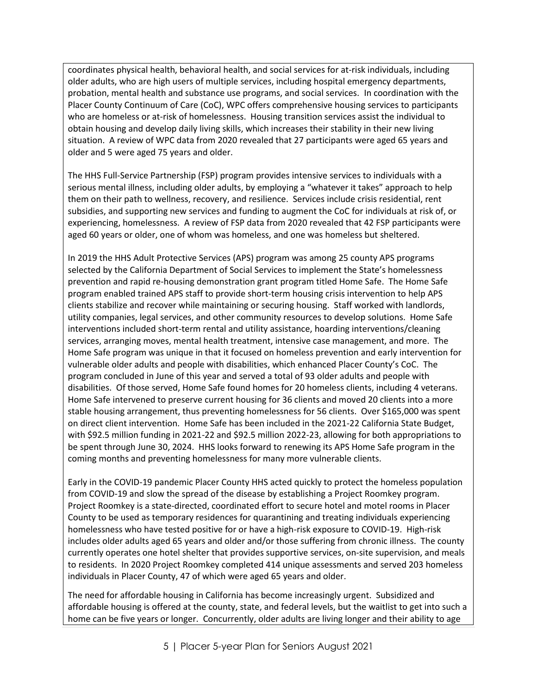coordinates physical health, behavioral health, and social services for at-risk individuals, including older adults, who are high users of multiple services, including hospital emergency departments, probation, mental health and substance use programs, and social services. In coordination with the Placer County Continuum of Care (CoC), WPC offers comprehensive housing services to participants who are homeless or at-risk of homelessness. Housing transition services assist the individual to obtain housing and develop daily living skills, which increases their stability in their new living situation. A review of WPC data from 2020 revealed that 27 participants were aged 65 years and older and 5 were aged 75 years and older.

The HHS Full-Service Partnership (FSP) program provides intensive services to individuals with a serious mental illness, including older adults, by employing a "whatever it takes" approach to help them on their path to wellness, recovery, and resilience. Services include crisis residential, rent subsidies, and supporting new services and funding to augment the CoC for individuals at risk of, or experiencing, homelessness. A review of FSP data from 2020 revealed that 42 FSP participants were aged 60 years or older, one of whom was homeless, and one was homeless but sheltered.

In 2019 the HHS Adult Protective Services (APS) program was among 25 county APS programs selected by the California Department of Social Services to implement the State's homelessness prevention and rapid re-housing demonstration grant program titled Home Safe. The Home Safe program enabled trained APS staff to provide short-term housing crisis intervention to help APS clients stabilize and recover while maintaining or securing housing. Staff worked with landlords, utility companies, legal services, and other community resources to develop solutions. Home Safe interventions included short-term rental and utility assistance, hoarding interventions/cleaning services, arranging moves, mental health treatment, intensive case management, and more. The Home Safe program was unique in that it focused on homeless prevention and early intervention for vulnerable older adults and people with disabilities, which enhanced Placer County's CoC. The program concluded in June of this year and served a total of 93 older adults and people with disabilities. Of those served, Home Safe found homes for 20 homeless clients, including 4 veterans. Home Safe intervened to preserve current housing for 36 clients and moved 20 clients into a more stable housing arrangement, thus preventing homelessness for 56 clients. Over \$165,000 was spent on direct client intervention. Home Safe has been included in the 2021-22 California State Budget, with \$92.5 million funding in 2021-22 and \$92.5 million 2022-23, allowing for both appropriations to be spent through June 30, 2024. HHS looks forward to renewing its APS Home Safe program in the coming months and preventing homelessness for many more vulnerable clients.

Early in the COVID-19 pandemic Placer County HHS acted quickly to protect the homeless population from COVID-19 and slow the spread of the disease by establishing a Project Roomkey program. Project Roomkey is a state-directed, coordinated effort to secure hotel and motel rooms in Placer County to be used as temporary residences for quarantining and treating individuals experiencing homelessness who have tested positive for or have a high-risk exposure to COVID-19. High-risk includes older adults aged 65 years and older and/or those suffering from chronic illness. The county currently operates one hotel shelter that provides supportive services, on-site supervision, and meals to residents. In 2020 Project Roomkey completed 414 unique assessments and served 203 homeless individuals in Placer County, 47 of which were aged 65 years and older.

The need for affordable housing in California has become increasingly urgent. Subsidized and affordable housing is offered at the county, state, and federal levels, but the waitlist to get into such a home can be five years or longer. Concurrently, older adults are living longer and their ability to age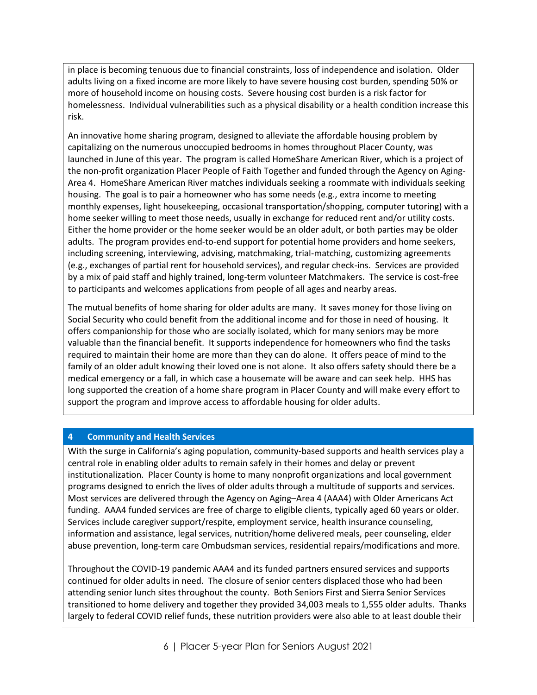in place is becoming tenuous due to financial constraints, loss of independence and isolation. Older adults living on a fixed income are more likely to have severe housing cost burden, spending 50% or more of household income on housing costs. Severe housing cost burden is a risk factor for homelessness. Individual vulnerabilities such as a physical disability or a health condition increase this risk.

An innovative home sharing program, designed to alleviate the affordable housing problem by capitalizing on the numerous unoccupied bedrooms in homes throughout Placer County, was launched in June of this year. The program is called HomeShare American River, which is a project of the non-profit organization Placer People of Faith Together and funded through the Agency on Aging-Area 4. HomeShare American River matches individuals seeking a roommate with individuals seeking housing. The goal is to pair a homeowner who has some needs (e.g., extra income to meeting monthly expenses, light housekeeping, occasional transportation/shopping, computer tutoring) with a home seeker willing to meet those needs, usually in exchange for reduced rent and/or utility costs. Either the home provider or the home seeker would be an older adult, or both parties may be older adults. The program provides end-to-end support for potential home providers and home seekers, including screening, interviewing, advising, matchmaking, trial-matching, customizing agreements (e.g., exchanges of partial rent for household services), and regular check-ins. Services are provided by a mix of paid staff and highly trained, long-term volunteer Matchmakers. The service is cost-free to participants and welcomes applications from people of all ages and nearby areas.

The mutual benefits of home sharing for older adults are many. It saves money for those living on Social Security who could benefit from the additional income and for those in need of housing. It offers companionship for those who are socially isolated, which for many seniors may be more valuable than the financial benefit. It supports independence for homeowners who find the tasks required to maintain their home are more than they can do alone. It offers peace of mind to the family of an older adult knowing their loved one is not alone. It also offers safety should there be a medical emergency or a fall, in which case a housemate will be aware and can seek help. HHS has long supported the creation of a home share program in Placer County and will make every effort to support the program and improve access to affordable housing for older adults.

# **4 Community and Health Services**

With the surge in California's aging population, community-based supports and health services play a central role in enabling older adults to remain safely in their homes and delay or prevent institutionalization. Placer County is home to many nonprofit organizations and local government programs designed to enrich the lives of older adults through a multitude of supports and services. Most services are delivered through the Agency on Aging–Area 4 (AAA4) with Older Americans Act funding. AAA4 funded services are free of charge to eligible clients, typically aged 60 years or older. Services include caregiver support/respite, employment service, health insurance counseling, information and assistance, legal services, nutrition/home delivered meals, peer counseling, elder abuse prevention, long-term care Ombudsman services, residential repairs/modifications and more.

Throughout the COVID-19 pandemic AAA4 and its funded partners ensured services and supports continued for older adults in need. The closure of senior centers displaced those who had been attending senior lunch sites throughout the county. Both Seniors First and Sierra Senior Services transitioned to home delivery and together they provided 34,003 meals to 1,555 older adults. Thanks largely to federal COVID relief funds, these nutrition providers were also able to at least double their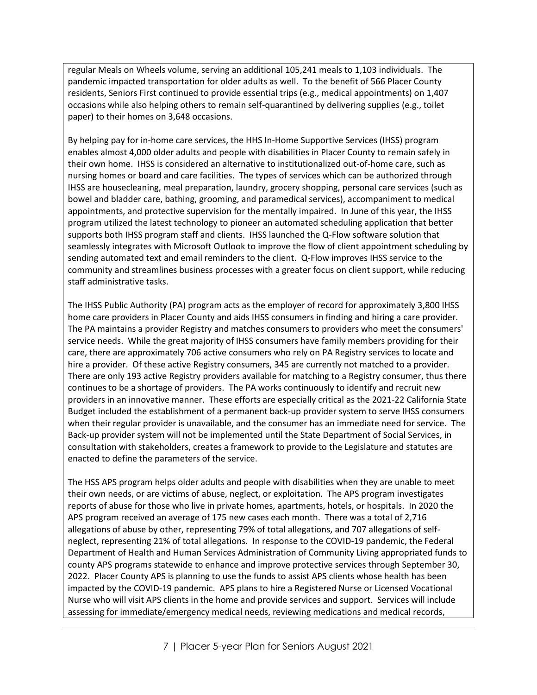regular Meals on Wheels volume, serving an additional 105,241 meals to 1,103 individuals. The pandemic impacted transportation for older adults as well. To the benefit of 566 Placer County residents, Seniors First continued to provide essential trips (e.g., medical appointments) on 1,407 occasions while also helping others to remain self-quarantined by delivering supplies (e.g., toilet paper) to their homes on 3,648 occasions.

By helping pay for in-home care services, the HHS In-Home Supportive Services (IHSS) program enables almost 4,000 older adults and people with disabilities in Placer County to remain safely in their own home. IHSS is considered an alternative to institutionalized out-of-home care, such as nursing homes or board and care facilities. The types of services which can be authorized through IHSS are housecleaning, meal preparation, laundry, grocery shopping, personal care services (such as bowel and bladder care, bathing, grooming, and paramedical services), accompaniment to medical appointments, and protective supervision for the mentally impaired. In June of this year, the IHSS program utilized the latest technology to pioneer an automated scheduling application that better supports both IHSS program staff and clients. IHSS launched the Q-Flow software solution that seamlessly integrates with Microsoft Outlook to improve the flow of client appointment scheduling by sending automated text and email reminders to the client. Q-Flow improves IHSS service to the community and streamlines business processes with a greater focus on client support, while reducing staff administrative tasks.

The IHSS Public Authority (PA) program acts as the employer of record for approximately 3,800 IHSS home care providers in Placer County and aids IHSS consumers in finding and hiring a care provider. The PA maintains a provider Registry and matches consumers to providers who meet the consumers' service needs. While the great majority of IHSS consumers have family members providing for their care, there are approximately 706 active consumers who rely on PA Registry services to locate and hire a provider. Of these active Registry consumers, 345 are currently not matched to a provider. There are only 193 active Registry providers available for matching to a Registry consumer, thus there continues to be a shortage of providers. The PA works continuously to identify and recruit new providers in an innovative manner. These efforts are especially critical as the 2021-22 California State Budget included the establishment of a permanent back-up provider system to serve IHSS consumers when their regular provider is unavailable, and the consumer has an immediate need for service. The Back-up provider system will not be implemented until the State Department of Social Services, in consultation with stakeholders, creates a framework to provide to the Legislature and statutes are enacted to define the parameters of the service.

The HSS APS program helps older adults and people with disabilities when they are unable to meet their own needs, or are victims of abuse, neglect, or exploitation. The APS program investigates reports of abuse for those who live in private homes, apartments, hotels, or hospitals. In 2020 the APS program received an average of 175 new cases each month. There was a total of 2,716 allegations of abuse by other, representing 79% of total allegations, and 707 allegations of selfneglect, representing 21% of total allegations. In response to the COVID-19 pandemic, the Federal Department of Health and Human Services Administration of Community Living appropriated funds to county APS programs statewide to enhance and improve protective services through September 30, 2022. Placer County APS is planning to use the funds to assist APS clients whose health has been impacted by the COVID-19 pandemic. APS plans to hire a Registered Nurse or Licensed Vocational Nurse who will visit APS clients in the home and provide services and support. Services will include assessing for immediate/emergency medical needs, reviewing medications and medical records,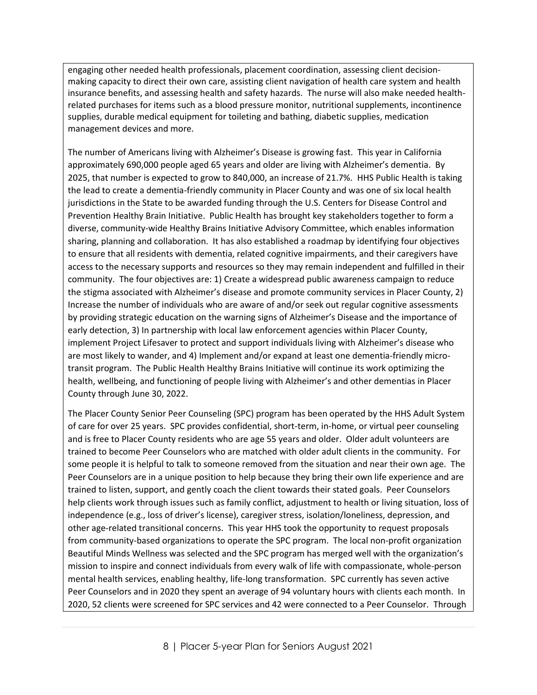engaging other needed health professionals, placement coordination, assessing client decisionmaking capacity to direct their own care, assisting client navigation of health care system and health insurance benefits, and assessing health and safety hazards. The nurse will also make needed healthrelated purchases for items such as a blood pressure monitor, nutritional supplements, incontinence supplies, durable medical equipment for toileting and bathing, diabetic supplies, medication management devices and more.

The number of Americans living with Alzheimer's Disease is growing fast. This year in California approximately 690,000 people aged 65 years and older are living with Alzheimer's dementia. By 2025, that number is expected to grow to 840,000, an increase of 21.7%. HHS Public Health is taking the lead to create a dementia-friendly community in Placer County and was one of six local health jurisdictions in the State to be awarded funding through the U.S. Centers for Disease Control and Prevention Healthy Brain Initiative. Public Health has brought key stakeholders together to form a diverse, community-wide Healthy Brains Initiative Advisory Committee, which enables information sharing, planning and collaboration. It has also established a roadmap by identifying four objectives to ensure that all residents with dementia, related cognitive impairments, and their caregivers have access to the necessary supports and resources so they may remain independent and fulfilled in their community. The four objectives are: 1) Create a widespread public awareness campaign to reduce the stigma associated with Alzheimer's disease and promote community services in Placer County, 2) Increase the number of individuals who are aware of and/or seek out regular cognitive assessments by providing strategic education on the warning signs of Alzheimer's Disease and the importance of early detection, 3) In partnership with local law enforcement agencies within Placer County, implement Project Lifesaver to protect and support individuals living with Alzheimer's disease who are most likely to wander, and 4) Implement and/or expand at least one dementia-friendly microtransit program. The Public Health Healthy Brains Initiative will continue its work optimizing the health, wellbeing, and functioning of people living with Alzheimer's and other dementias in Placer County through June 30, 2022.

The Placer County Senior Peer Counseling (SPC) program has been operated by the HHS Adult System of care for over 25 years. SPC provides confidential, short-term, in-home, or virtual peer counseling and is free to Placer County residents who are age 55 years and older. Older adult volunteers are trained to become Peer Counselors who are matched with older adult clients in the community. For some people it is helpful to talk to someone removed from the situation and near their own age. The Peer Counselors are in a unique position to help because they bring their own life experience and are trained to listen, support, and gently coach the client towards their stated goals. Peer Counselors help clients work through issues such as family conflict, adjustment to health or living situation, loss of independence (e.g., loss of driver's license), caregiver stress, isolation/loneliness, depression, and other age-related transitional concerns. This year HHS took the opportunity to request proposals from community-based organizations to operate the SPC program. The local non-profit organization Beautiful Minds Wellness was selected and the SPC program has merged well with the organization's mission to inspire and connect individuals from every walk of life with compassionate, whole-person mental health services, enabling healthy, life-long transformation. SPC currently has seven active Peer Counselors and in 2020 they spent an average of 94 voluntary hours with clients each month. In 2020, 52 clients were screened for SPC services and 42 were connected to a Peer Counselor. Through